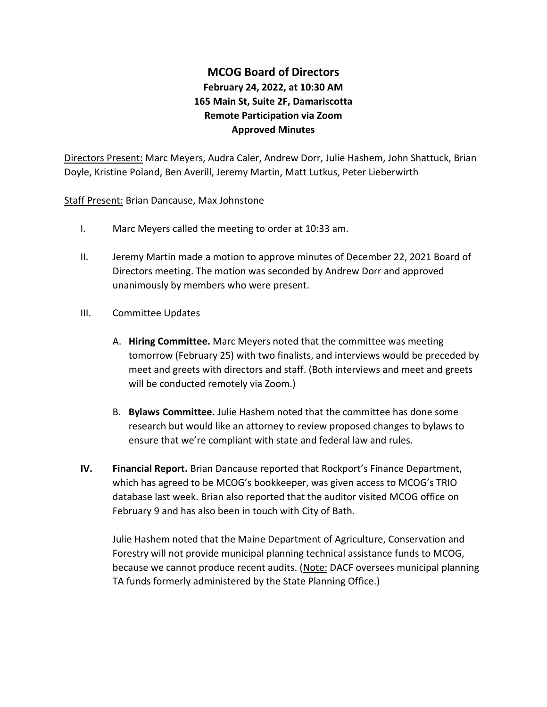## **MCOG Board of Directors February 24, 2022, at 10:30 AM 165 Main St, Suite 2F, Damariscotta Remote Participation via Zoom Approved Minutes**

Directors Present: Marc Meyers, Audra Caler, Andrew Dorr, Julie Hashem, John Shattuck, Brian Doyle, Kristine Poland, Ben Averill, Jeremy Martin, Matt Lutkus, Peter Lieberwirth

Staff Present: Brian Dancause, Max Johnstone

- I. Marc Meyers called the meeting to order at 10:33 am.
- II. Jeremy Martin made a motion to approve minutes of December 22, 2021 Board of Directors meeting. The motion was seconded by Andrew Dorr and approved unanimously by members who were present.
- III. Committee Updates
	- A. **Hiring Committee.** Marc Meyers noted that the committee was meeting tomorrow (February 25) with two finalists, and interviews would be preceded by meet and greets with directors and staff. (Both interviews and meet and greets will be conducted remotely via Zoom.)
	- B. **Bylaws Committee.** Julie Hashem noted that the committee has done some research but would like an attorney to review proposed changes to bylaws to ensure that we're compliant with state and federal law and rules.
- **IV. Financial Report.** Brian Dancause reported that Rockport's Finance Department, which has agreed to be MCOG's bookkeeper, was given access to MCOG's TRIO database last week. Brian also reported that the auditor visited MCOG office on February 9 and has also been in touch with City of Bath.

Julie Hashem noted that the Maine Department of Agriculture, Conservation and Forestry will not provide municipal planning technical assistance funds to MCOG, because we cannot produce recent audits. (Note: DACF oversees municipal planning TA funds formerly administered by the State Planning Office.)